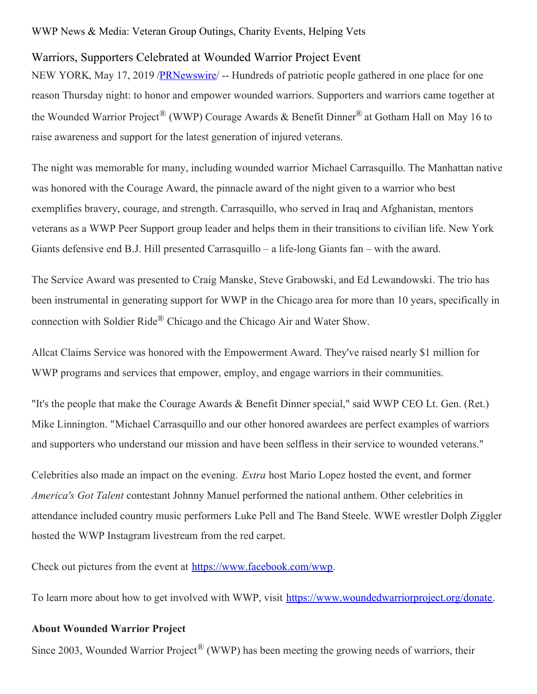## WWP News & Media: Veteran Group Outings, Charity Events, Helping Vets

## Warriors, Supporters Celebrated at Wounded Warrior Project Event

NEW YORK, May 17, 2019 /**PRNewswire** -- Hundreds of patriotic people gathered in one place for one reason Thursday night: to honor and empower wounded warriors. Supporters and warriors came together at the Wounded Warrior Project<sup>®</sup> (WWP) Courage Awards & Benefit Dinner<sup>®</sup> at Gotham Hall on May 16 to raise awareness and support for the latest generation of injured veterans.

The night was memorable for many, including wounded warrior Michael Carrasquillo. The Manhattan native was honored with the Courage Award, the pinnacle award of the night given to a warrior who best exemplifies bravery, courage, and strength. Carrasquillo, who served in Iraq and Afghanistan, mentors veterans as a WWP Peer Support group leader and helps them in their transitions to civilian life. New York Giants defensive end B.J. Hill presented Carrasquillo – a life-long Giants fan – with the award.

The Service Award was presented to Craig Manske, Steve Grabowski, and Ed Lewandowski. The trio has been instrumental in generating support for WWP in the Chicago area for more than 10 years, specifically in connection with Soldier Ride® Chicago and the Chicago Air and Water Show.

Allcat Claims Service was honored with the Empowerment Award. They've raised nearly \$1 million for WWP programs and services that empower, employ, and engage warriors in their communities.

"It's the people that make the Courage Awards & Benefit Dinner special," said WWP CEO Lt. Gen. (Ret.) Mike Linnington. "Michael Carrasquillo and our other honored awardees are perfect examples of warriors and supporters who understand our mission and have been selfless in their service to wounded veterans."

Celebrities also made an impact on the evening. *Extra* host Mario Lopez hosted the event, and former *America's Got Talent* contestant Johnny Manuel performed the national anthem. Other celebrities in attendance included country music performers Luke Pell and The Band Steele. WWE wrestler Dolph Ziggler hosted the WWP Instagram livestream from the red carpet.

Check out pictures from the event at [https://www.facebook.com/wwp](https://c212.net/c/link/?t=0&l=en&o=2470539-1&h=2844480745&u=https%3A%2F%2Fwww.facebook.com%2Fwwp%2F&a=https%3A%2F%2Fwww.facebook.com%2Fwwp).

To learn more about how to get involved with WWP, visit <https://www.woundedwarriorproject.org/donate>.

## **About Wounded Warrior Project**

Since 2003, Wounded Warrior Project<sup>®</sup> (WWP) has been meeting the growing needs of warriors, their